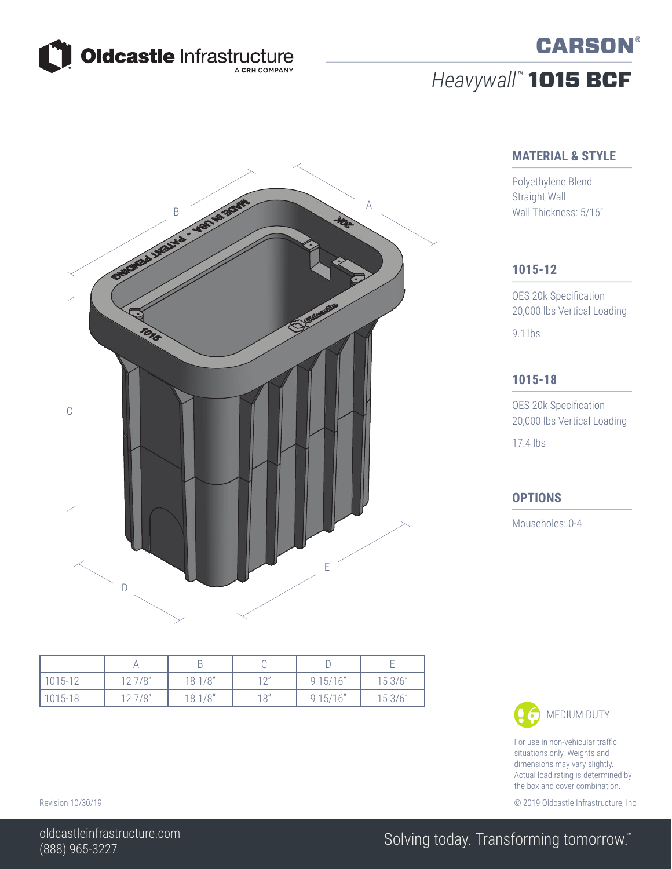

# *Heavywall™* 1015 BCF



### **MATERIAL & STYLE**

**CARSON®** 

Polyethylene Blend Straight Wall Wall Thickness: 5/16"

#### **1015-12**

OES 20k Specification 20,000 lbs Vertical Loading 9.1 lbs

### **1015-18**

OES 20k Specification 20,000 lbs Vertical Loading 17.4 lbs

#### **OPTIONS**

Mouseholes: 0-4

| 1015-12 | 127/8" | 18 1/8" | 10 <sup>11</sup> | 915/16" | 153/6" |
|---------|--------|---------|------------------|---------|--------|
| 1015-18 | 127/8" | 181/8"  | 18"              | 915/16" | 153/6" |



For use in non-vehicular traffic situations only. Weights and dimensions may vary slightly. Actual load rating is determined by the box and cover combination.

Revision 10/30/19 **Details and COVID-2012** COVID-100 COVID-100 COVID-100 COVID-100 COVID-100 COVID-100 COVID-100